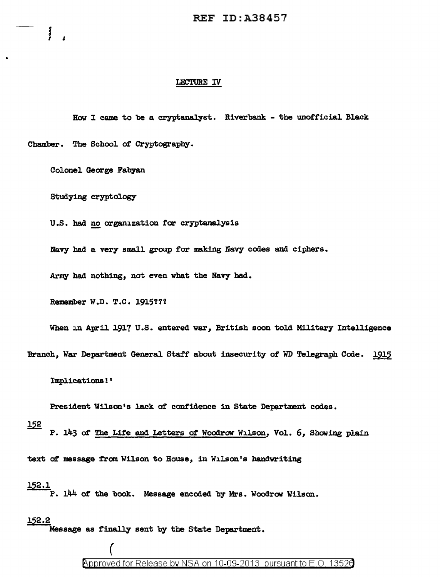#### LECTURE IV

How I came to be a cryptanalyst. Riverbank - the unofficial Black

Chamber. The School of Cryptography.

Colonel George Fabyan

j

Studying cryptology

U.S. had no organization for cryptanalysis

Navy had a very small group for making Navy codes and ciphers.

Army had nothing, not even what the Navy had.

Remember W.D. T.C. 1915!??

When in April 1917 U.S. entered war, British soon told Military Intelligence

Branch, War Department General Staff about insecurity of WD Telegraph Code. 1915

Implications! '

President Wilson's lack of confidence in State Department codes.

152

P. 143 of The Life and Letters of Woodrow Wilson, Vol. 6, Showing plain

text of message from Wilson to House, in Wilson's handwriting

152.l

P. 144 of the book. Message encoded by Mrs. Woodrow Wilson.

152.2

Message as finally sent by the State Department.

(

Approved for Release by NSA on 10-09-2013 pursuant to E.O. 1352a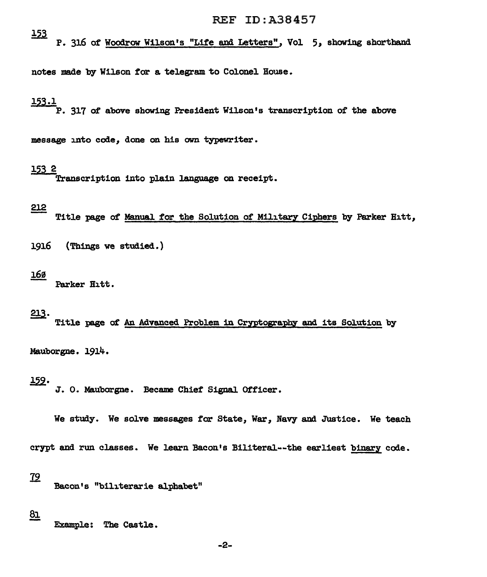$\frac{153}{152}$  P. 316 of Woodrow Wilson's "Life and Letters", Vol 5, showing shorthand

notes made by Wilson for a telegram to Colonel House.

# 153.l

P. 317 of above showing President Wilson's transcription of the above

message into code, done on his own typewriter.

#### 153 2

.<br>Transcription into plain language on receipt.

#### 212

Title page of Manual for the Solution of Military Ciphers by Parker Hitt,

1916 (Things we studied.)

#### J.69

Parker Hitt.

# 213.

Title page of An Advanced Problem in Cryptography and its Solution by

Mauborgne. 1914.

1-22· J. o. Mauborgne. Became Chief' Signal. Officer.

We study. We solve messages for State, War, Navy and Justice. We teach

crypt and run classes. We learn Bacon's Biliteral--the earliest binary code.

### <u>79</u>

Bacon's "biliterarie alphabet"

81

Example: The Castle.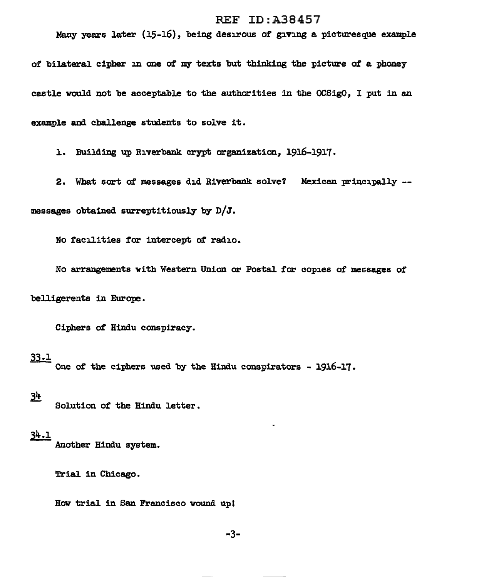Many years later  $(15-16)$ , being desirous of giving a picturesque example

of bilateral cipher in one of *my* texts but thinking the picture of a phoney castle would not be acceptable to the authorities in the OCSigO, I put in an example and challenge students to solve it.

1. Building up Riverbank crypt organization, 1916-1917.

2. What sort of messages did Riverbank solve? Mexican principally -messages obtained surreptitiously by  $D/J$ .

No facilities for intercept *ot* radio.

No arrangements with Western Union or Postal for copies of messages of

belligerents in Europe.

Ciphers of Hindu conspiracy.

 $33.1$  One of the ciphers used by the Hindu conspirators - 1916-17.

### $34$

Solution of the Hindu letter.

## $34.1$

Another Hindu system.

Trial in Chicago.

Bow trial in San Francisco wound up!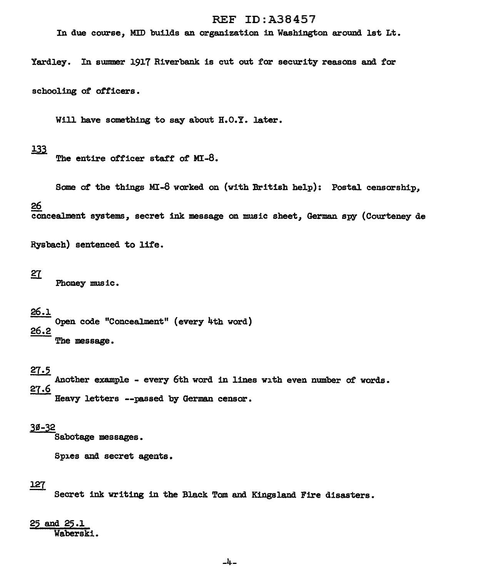In due course, MID builds an organization in Washington around 1st Lt.

Yardley. In summer 1917 Riverbank is cut out for security reasons and for

schooling of officers.

Will have something to say about H.O.Y. later.

### 133

The entire officer staff of MI-8.

Some *ot* the things MI-8 worked on (with British help): Postal censorship,

#### 26

eoncealment systems, secret ink message on music sheet, German spy (Courteney de

Rysbach) sentenced to life.

#### 27

Phoney music.

### 26.l

Open code "Concealment" (every 4th word) 26.2 The message.

### 27.5

~Another example - every 6th word in lines with even number *ot* words. 27.6 Heavy letters --passed by German censor.

#### 30-32

Sabotage messages.

Spies and secret agents.

#### 127

Secret ink writing in the Black Tom and Kingsland Fire disasters.

#### $25$  and  $2$ Waberski.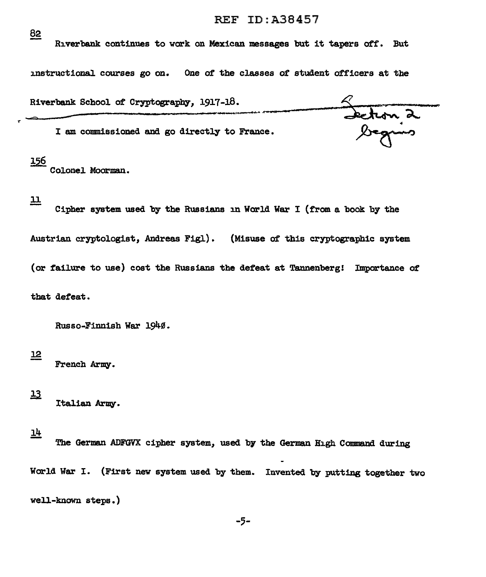82 Riverbank continues to work on Mexican messages but it tapers off. But instructional courses go on. One of the classes *ot* student officers at the Riverbank School of Cryptography, 1917-18.<br>
I am commissioned and go directly to France.<br>
Section 2 Riverbank School of Cryptography, 1917-18. I am commissioned and go directly to France.

# 156

r

Col.onel. Moorman.

 $\overline{\pi}$ 

Cipher system used by the Russians in World War I (from a book by the Austrian cryptologist, Andreas Figl). (Misuse of this cryptographic system. (or failure to use) cost the Russians the defeat at Tannenberg! Importance of that defeat.

Russo-Finnish War 1940.

French Army.

 $13$ Italian Army.

 $14$ 

J.2

The German ADFGVX cipher system, used by the German High Command during World War I. (First new system used by them. Invented by putting together two well-known steps.)

-5-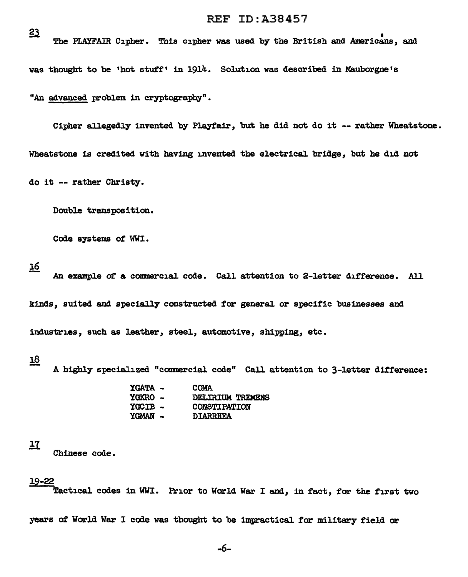The PLAYFAIR Cipher. This cipher was used by the British and Americans, and was thought to be 'hot stuff' in 1914. Solution was described in Mauborgne's "An advanced problem in cryptography".

Cipher allegedly invented by Playfair, but he did not do it -- rather Wheatstone. Wheatstone is credited with having invented the electrical. bridge, but he did not do it -- rather Christy.

Double transposition.

Code systems *ot* WWI.

16

An example of a commercial code. Call attention to 2-letter difference. All kinds, suited and specially constructed for general. or specific businesses and industries, such as leather, steel, automotive, shipping, etc.

## 18

- A highly specialized "commercial code" Call attention to 3-letter difference:

| <b>YGATA -</b> | <b>COMA</b>         |
|----------------|---------------------|
| <b>YGKRO –</b> | DELIRIUM TREMENS    |
| YCCIB -        | <b>CONSTIPATION</b> |
| <b>YGMAN -</b> | <b>DIARRHEA</b>     |

```
<u> 17</u>
```
Chinese code.

#### 19-22

Tactical codes in WWI. Prior to World War I and, in fact, for the first two

years of World War I code was thought to be impractical for military field or

 $23$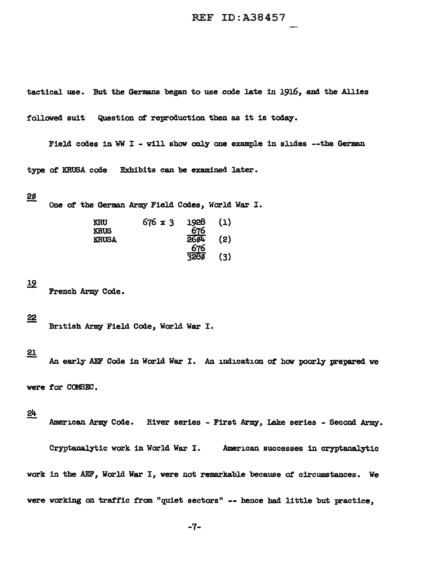tactical use. But the Germans began to use code late in 1916, and the Allies followed suit Question of reproduction then as it is today.

Field codes in WW I - will show only one example in slides --the German type of KRUSA code Exhibits can be examined later.

#### 2ø

One *ot* the German Army Field Codes, World War I.

| KRU<br><b>KRUS</b> | $676 \times 3$ | 1928<br>676        | (1) |
|--------------------|----------------|--------------------|-----|
| <b>KRUSA</b>       |                | <b>26ø4</b><br>676 | (2) |
|                    |                | 3280               | (3) |

### $\overline{12}$

French Army Code.

#### $\mathbf{22}$

British Army Field Code, World War I.

### $\underline{\mathbf{21}}$

An early AEF Code in World War I. An indication of how poorly prepared we

were for COMSEC.

#### 24

American Army Code. River series - First Army, Lake series - Second Army.

Cryptanalytic work in World War I. American successes in cryptanalytic work in the AEF, World War I, were not remarkable because of circumstances. We were working on traffic from "quiet sectors" -- hence had little but practice,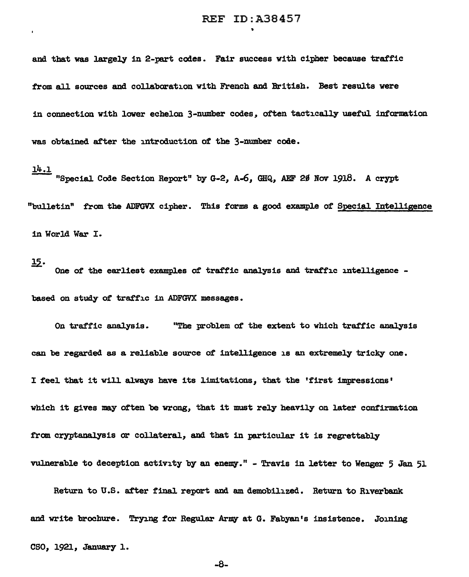and tbat was largely in 2-part codes. Fair success with cipher because traffic from all sources and collaboration with French and British. Best results were in connection with lower echelon 3-number codes, often tactically useful information was obtained after the introduction of the 3-number code.

# J.4.l

"Special Code Section Report" by G-2, A-6, GHQ, AEF 20 Nov 1918. A crypt "bulletin" from the ADFGVX cipher. This farms a good example of Special. Intelligence in World War I.

*!2.·* One of the earl.iest exampJ.es of traffic analysis and traffic inteJ.ligence based on study of traffic in ADFGVX messages.

On traffic analysis. "The probJ.em of the extent to which traffic analysis can be regarded as a reliable source of intelligence is an extremely tricky one. I feel that it will always have its limitations, that the 'first impressions' which it gives may often be wrong, that it must rely heavily on later confirmation from cryptanalysis or collateral, and that in particular it is regrettably vulnerable to deception activity by an enemy." - Travis in letter to Wenger 5 Jan 51

Return to U.S. after final report and am demobilized. Return to Riverbank and write brochure. Trying for Regular Army at G. Fabyan's insistence. Joining

cso, 1921, January 1.

-8-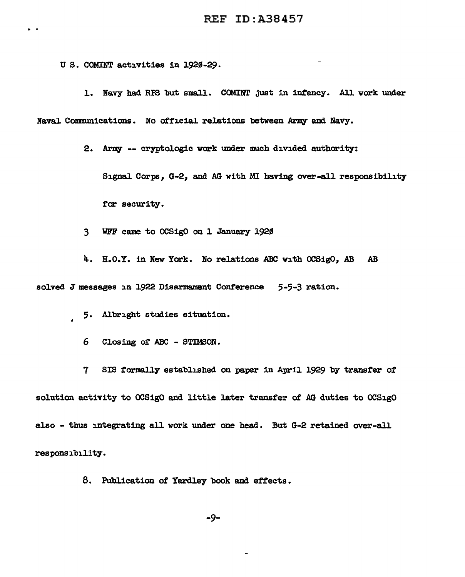U S. COMINT activities in 1920-29.

 $\bullet$ 

1. Navy had RPS but small. COMINT just in infancy. All work under Naval Communications. No official relations between Army and Navy.

2. Army -- cryptologic work under much divided authority:

Signal Corps, G-2, and AG with MI having over-all responsibility for security.

3 WFF came to OCSigO on J. January 1920

4. B.O.Y. in New York. No relations ABC with OCSigO, AB AB

solved J messages in 1922 Disarmament Conference 5-5-3 ration.

5. Albright studies situation.  $\mathbf{r}$ 

6 Closing of ABC - STIMSON.

7 SIS formally established on paper in April 1929 by transfer of solution. activity to OCSigO and little later transfer of AG duties to OCSigO also - thus integrating all work under one head. But G-2 retained over-all responsibility.

8. Publication of Yardley book and effects.

-9-